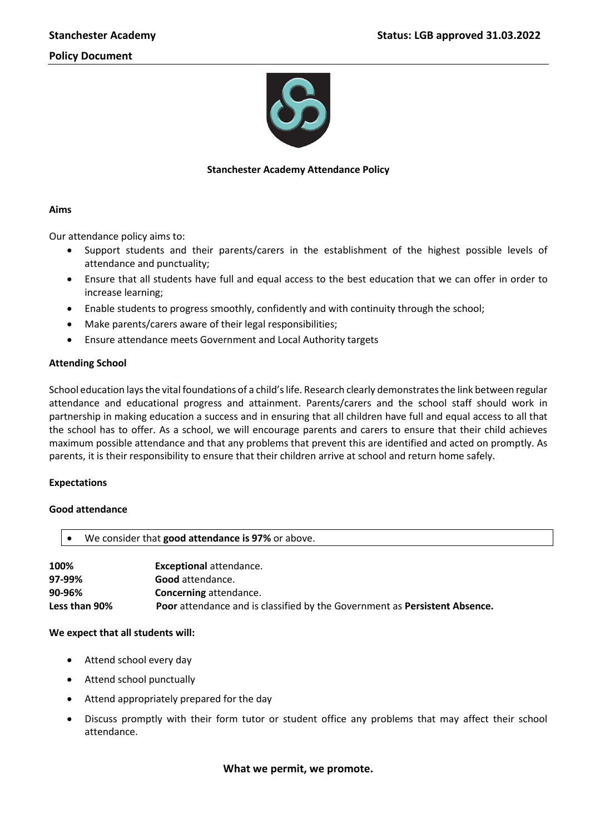

# **Stanchester Academy Attendance Policy**

## **Aims**

Our attendance policy aims to:

- Support students and their parents/carers in the establishment of the highest possible levels of attendance and punctuality;
- Ensure that all students have full and equal access to the best education that we can offer in order to increase learning;
- Enable students to progress smoothly, confidently and with continuity through the school;
- Make parents/carers aware of their legal responsibilities;
- Ensure attendance meets Government and Local Authority targets

## **Attending School**

School education lays the vital foundations of a child's life. Research clearly demonstrates the link between regular attendance and educational progress and attainment. Parents/carers and the school staff should work in partnership in making education a success and in ensuring that all children have full and equal access to all that the school has to offer. As a school, we will encourage parents and carers to ensure that their child achieves maximum possible attendance and that any problems that prevent this are identified and acted on promptly. As parents, it is their responsibility to ensure that their children arrive at school and return home safely.

## **Expectations**

## **Good attendance**

| We consider that good attendance is 97% or above.                                           |                                |  |
|---------------------------------------------------------------------------------------------|--------------------------------|--|
|                                                                                             |                                |  |
| 100%                                                                                        | <b>Exceptional attendance.</b> |  |
| 97-99%<br>Good attendance.                                                                  |                                |  |
| 90-96%<br><b>Concerning attendance.</b>                                                     |                                |  |
| Less than 90%<br>Poor attendance and is classified by the Government as Persistent Absence. |                                |  |

## **We expect that all students will:**

- Attend school every day
- Attend school punctually
- Attend appropriately prepared for the day
- Discuss promptly with their form tutor or student office any problems that may affect their school attendance.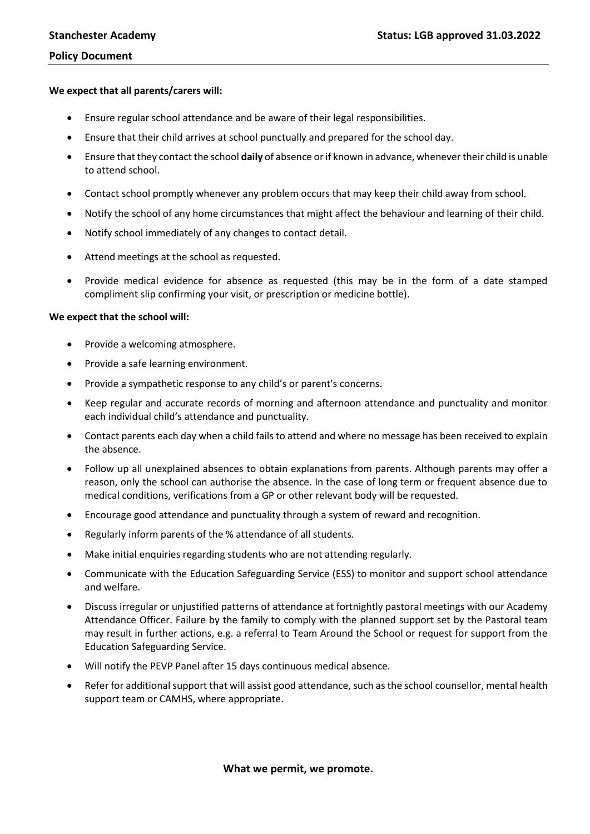#### **We expect that all parents/carers will:**

- Ensure regular school attendance and be aware of their legal responsibilities.
- Ensure that their child arrives at school punctually and prepared for the school day.
- Ensure that they contact the school **daily** of absence or if known in advance, whenever their child is unable to attend school.
- Contact school promptly whenever any problem occurs that may keep their child away from school.
- Notify the school of any home circumstances that might affect the behaviour and learning of their child.
- Notify school immediately of any changes to contact detail.
- Attend meetings at the school as requested.
- Provide medical evidence for absence as requested (this may be in the form of a date stamped compliment slip confirming your visit, or prescription or medicine bottle).

#### **We expect that the school will:**

- Provide a welcoming atmosphere.
- Provide a safe learning environment.
- Provide a sympathetic response to any child's or parent's concerns.
- Keep regular and accurate records of morning and afternoon attendance and punctuality and monitor each individual child's attendance and punctuality.
- Contact parents each day when a child fails to attend and where no message has been received to explain the absence.
- Follow up all unexplained absences to obtain explanations from parents. Although parents may offer a reason, only the school can authorise the absence. In the case of long term or frequent absence due to medical conditions, verifications from a GP or other relevant body will be requested.
- Encourage good attendance and punctuality through a system of reward and recognition.
- Regularly inform parents of the % attendance of all students.
- Make initial enquiries regarding students who are not attending regularly.
- Communicate with the Education Safeguarding Service (ESS) to monitor and support school attendance and welfare.
- Discuss irregular or unjustified patterns of attendance at fortnightly pastoral meetings with our Academy Attendance Officer. Failure by the family to comply with the planned support set by the Pastoral team may result in further actions, e.g. a referral to Team Around the School or request for support from the Education Safeguarding Service.
- Will notify the PEVP Panel after 15 days continuous medical absence.
- Refer for additional support that will assist good attendance, such as the school counsellor, mental health support team or CAMHS, where appropriate.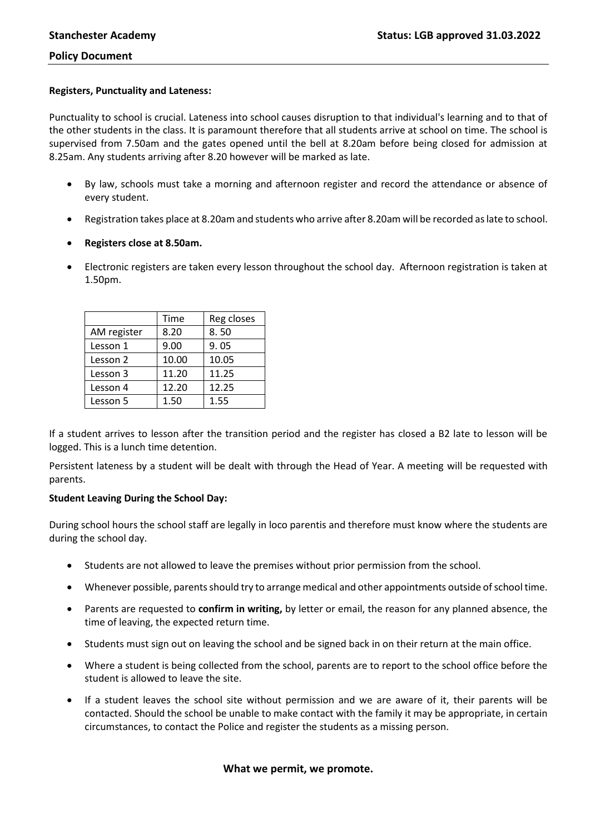#### **Registers, Punctuality and Lateness:**

Punctuality to school is crucial. Lateness into school causes disruption to that individual's learning and to that of the other students in the class. It is paramount therefore that all students arrive at school on time. The school is supervised from 7.50am and the gates opened until the bell at 8.20am before being closed for admission at 8.25am. Any students arriving after 8.20 however will be marked as late.

- By law, schools must take a morning and afternoon register and record the attendance or absence of every student.
- Registration takes place at 8.20am and students who arrive after 8.20am will be recorded as late to school.
- **Registers close at 8.50am.**
- Electronic registers are taken every lesson throughout the school day. Afternoon registration is taken at 1.50pm.

|             | Time  | Reg closes |
|-------------|-------|------------|
| AM register | 8.20  | 8.50       |
| Lesson 1    | 9.00  | 9.05       |
| Lesson 2    | 10.00 | 10.05      |
| Lesson 3    | 11.20 | 11.25      |
| Lesson 4    | 12.20 | 12.25      |
| Lesson 5    | 1.50  | 1.55       |

If a student arrives to lesson after the transition period and the register has closed a B2 late to lesson will be logged. This is a lunch time detention.

Persistent lateness by a student will be dealt with through the Head of Year. A meeting will be requested with parents.

## **Student Leaving During the School Day:**

During school hours the school staff are legally in loco parentis and therefore must know where the students are during the school day.

- Students are not allowed to leave the premises without prior permission from the school.
- Whenever possible, parents should try to arrange medical and other appointments outside of school time.
- Parents are requested to **confirm in writing,** by letter or email, the reason for any planned absence, the time of leaving, the expected return time.
- Students must sign out on leaving the school and be signed back in on their return at the main office.
- Where a student is being collected from the school, parents are to report to the school office before the student is allowed to leave the site.
- If a student leaves the school site without permission and we are aware of it, their parents will be contacted. Should the school be unable to make contact with the family it may be appropriate, in certain circumstances, to contact the Police and register the students as a missing person.

## **What we permit, we promote.**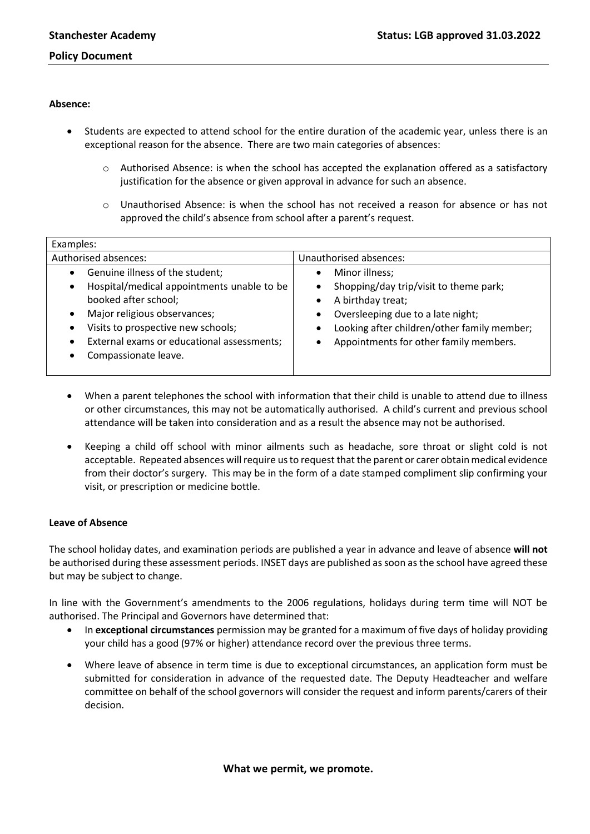## **Absence:**

- Students are expected to attend school for the entire duration of the academic year, unless there is an exceptional reason for the absence. There are two main categories of absences:
	- o Authorised Absence: is when the school has accepted the explanation offered as a satisfactory justification for the absence or given approval in advance for such an absence.
	- o Unauthorised Absence: is when the school has not received a reason for absence or has not approved the child's absence from school after a parent's request.

| Examples:                                                                                                                                                                                                                                                                                |                                                                                                                                                                                                             |  |  |
|------------------------------------------------------------------------------------------------------------------------------------------------------------------------------------------------------------------------------------------------------------------------------------------|-------------------------------------------------------------------------------------------------------------------------------------------------------------------------------------------------------------|--|--|
| Authorised absences:                                                                                                                                                                                                                                                                     | Unauthorised absences:                                                                                                                                                                                      |  |  |
| Genuine illness of the student;<br>Hospital/medical appointments unable to be<br>$\bullet$<br>booked after school;<br>Major religious observances;<br>Visits to prospective new schools;<br>$\bullet$<br>External exams or educational assessments;<br>$\bullet$<br>Compassionate leave. | Minor illness;<br>Shopping/day trip/visit to theme park;<br>A birthday treat;<br>Oversleeping due to a late night;<br>Looking after children/other family member;<br>Appointments for other family members. |  |  |

- When a parent telephones the school with information that their child is unable to attend due to illness or other circumstances, this may not be automatically authorised. A child's current and previous school attendance will be taken into consideration and as a result the absence may not be authorised.
- Keeping a child off school with minor ailments such as headache, sore throat or slight cold is not acceptable. Repeated absences will require us to request that the parent or carer obtain medical evidence from their doctor's surgery. This may be in the form of a date stamped compliment slip confirming your visit, or prescription or medicine bottle.

## **Leave of Absence**

The school holiday dates, and examination periods are published a year in advance and leave of absence **will not**  be authorised during these assessment periods. INSET days are published as soon as the school have agreed these but may be subject to change.

In line with the Government's amendments to the 2006 regulations, holidays during term time will NOT be authorised. The Principal and Governors have determined that:

- In **exceptional circumstances** permission may be granted for a maximum of five days of holiday providing your child has a good (97% or higher) attendance record over the previous three terms.
- Where leave of absence in term time is due to exceptional circumstances, an application form must be submitted for consideration in advance of the requested date. The Deputy Headteacher and welfare committee on behalf of the school governors will consider the request and inform parents/carers of their decision.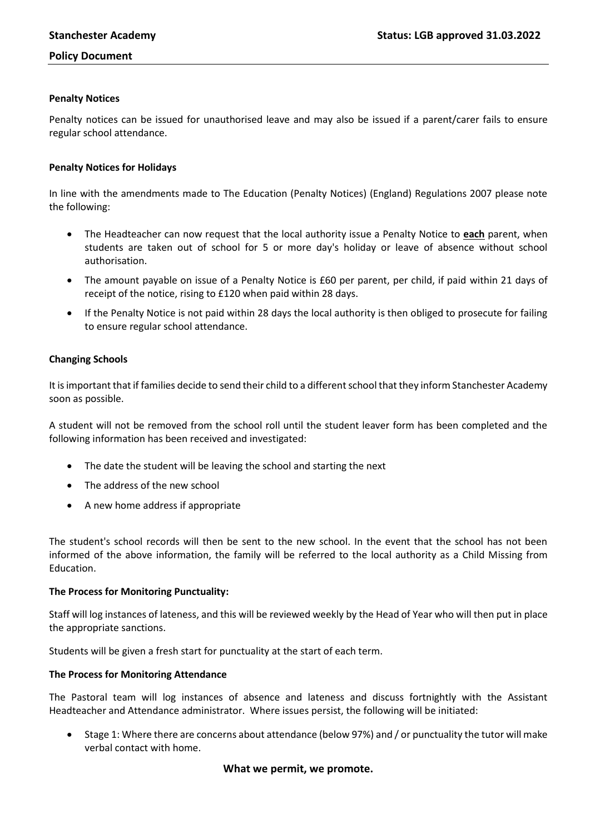## **Penalty Notices**

Penalty notices can be issued for unauthorised leave and may also be issued if a parent/carer fails to ensure regular school attendance.

## **Penalty Notices for Holidays**

In line with the amendments made to The Education (Penalty Notices) (England) Regulations 2007 please note the following:

- The Headteacher can now request that the local authority issue a Penalty Notice to **each** parent, when students are taken out of school for 5 or more day's holiday or leave of absence without school authorisation.
- The amount payable on issue of a Penalty Notice is £60 per parent, per child, if paid within 21 days of receipt of the notice, rising to £120 when paid within 28 days.
- If the Penalty Notice is not paid within 28 days the local authority is then obliged to prosecute for failing to ensure regular school attendance.

## **Changing Schools**

It is important that if families decide to send their child to a different school that they inform Stanchester Academy soon as possible.

A student will not be removed from the school roll until the student leaver form has been completed and the following information has been received and investigated:

- The date the student will be leaving the school and starting the next
- The address of the new school
- A new home address if appropriate

The student's school records will then be sent to the new school. In the event that the school has not been informed of the above information, the family will be referred to the local authority as a Child Missing from Education.

#### **The Process for Monitoring Punctuality:**

Staff will log instances of lateness, and this will be reviewed weekly by the Head of Year who will then put in place the appropriate sanctions.

Students will be given a fresh start for punctuality at the start of each term.

#### **The Process for Monitoring Attendance**

The Pastoral team will log instances of absence and lateness and discuss fortnightly with the Assistant Headteacher and Attendance administrator. Where issues persist, the following will be initiated:

 Stage 1: Where there are concerns about attendance (below 97%) and / or punctuality the tutor will make verbal contact with home.

## **What we permit, we promote.**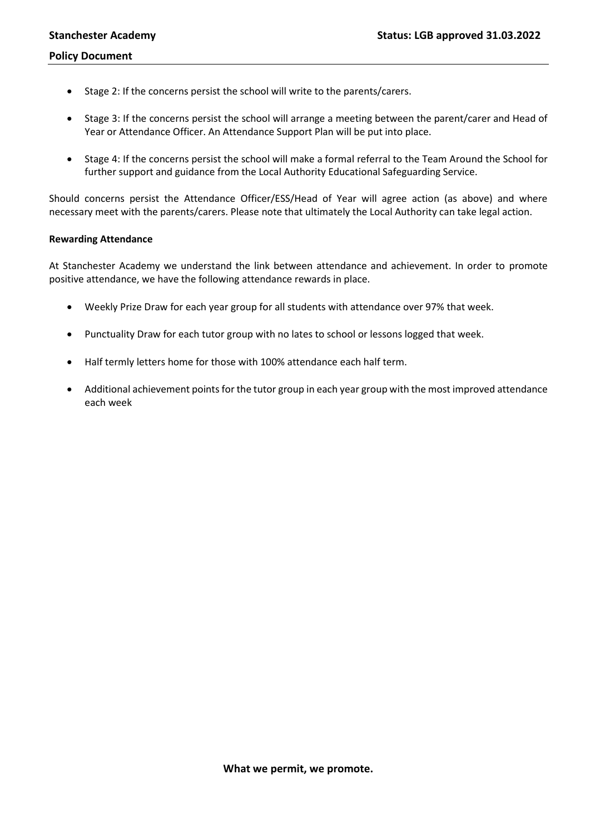- Stage 2: If the concerns persist the school will write to the parents/carers.
- Stage 3: If the concerns persist the school will arrange a meeting between the parent/carer and Head of Year or Attendance Officer. An Attendance Support Plan will be put into place.
- Stage 4: If the concerns persist the school will make a formal referral to the Team Around the School for further support and guidance from the Local Authority Educational Safeguarding Service.

Should concerns persist the Attendance Officer/ESS/Head of Year will agree action (as above) and where necessary meet with the parents/carers. Please note that ultimately the Local Authority can take legal action.

## **Rewarding Attendance**

At Stanchester Academy we understand the link between attendance and achievement. In order to promote positive attendance, we have the following attendance rewards in place.

- Weekly Prize Draw for each year group for all students with attendance over 97% that week.
- Punctuality Draw for each tutor group with no lates to school or lessons logged that week.
- Half termly letters home for those with 100% attendance each half term.
- Additional achievement points for the tutor group in each year group with the most improved attendance each week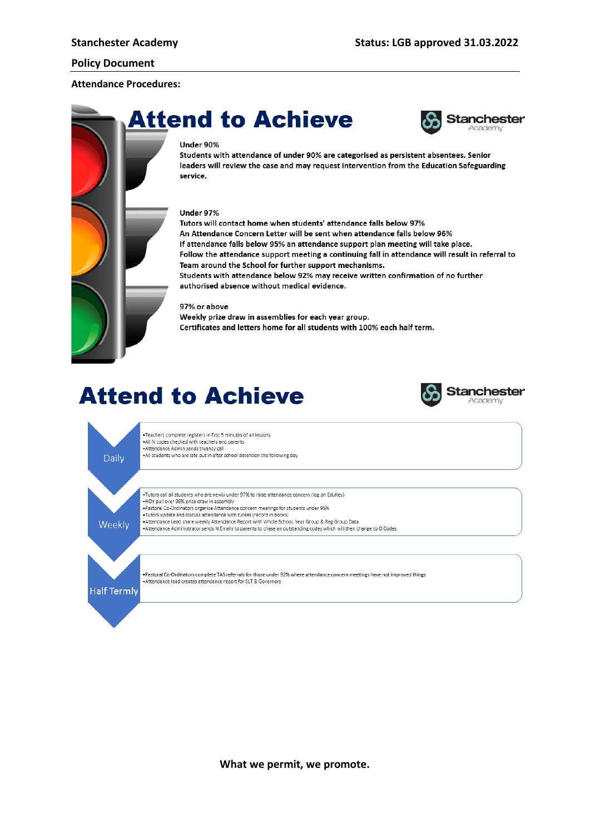#### **Attendance Procedures:**

# **Attend to Achieve**



#### Under 90%

Students with attendance of under 90% are categorised as persistent absentees. Senior leaders will review the case and may request intervention from the Education Safeguarding service.

#### Under 97%

Tutors will contact home when students' attendance falls below 97% An Attendance Concern Letter will be sent when attendance falls below 96% If attendance falls below 95% an attendance support plan meeting will take place. Follow the attendance support meeting a continuing fall in attendance will result in referral to Team around the School for further support mechanisms. Students with attendance below 92% may receive written confirmation of no further authorised absence without medical evidence.

#### 97% or above

Weekly prize draw in assemblies for each year group. Certificates and letters home for all students with 100% each half term.

# **Attend to Achieve**



. Teachers complete registers in first 5 minutes of all lessons - Products complete registers in this commetes of<br>All N codes checked with teachers and parents<br>- Attendance Admin sends truancy call . All students who are late put in after school detention the following day

.<br>• HOY pull over 96% prize draw in assembly



Daily

Attendance dead share weekly Attendance hepore with Whole Bendor, real order of the Group Board - Attendance Administrator sends N Emails to parents to chase an outstanding codes which will then change to O Codes

.<br>Tutors call all students who are newly under 97% to raise attendance concern (log on EduKey)

- Pastoral Co-Ordinators organise Attendance concern meetings for students under 95%<br>- Pastoral Co-Ordinators organise Attendance concern meetings for students under 95% . Attendance Lead share weekly Attendance Report with Whole School, Year Group & Reg Group Data

. Pastoral Co-Ordinators complete TAS referrals for those under 92% where attendance concern meetings have not improved things - Attendance lead creates attendance report for SLT & Governors